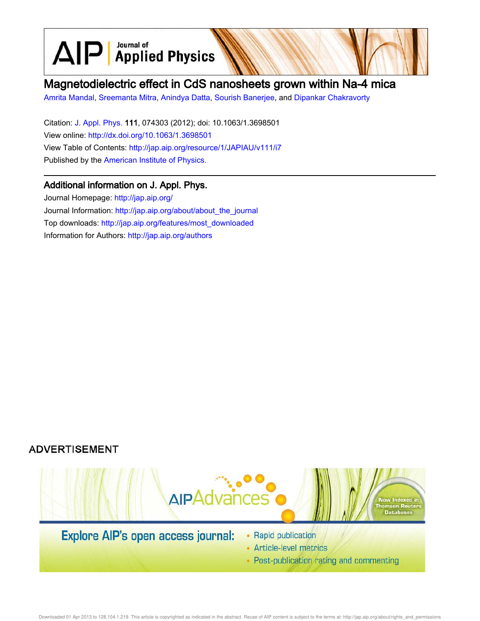$\text{AlP}$  Applied Physics

# Magnetodielectric effect in CdS nanosheets grown within Na-4 mica

Amrita Mandal, Sreemanta Mitra, Anindya Datta, Sourish Banerjee, and Dipankar Chakravorty

Citation: J. Appl. Phys. 111, 074303 (2012); doi: 10.1063/1.3698501 View online: http://dx.doi.org/10.1063/1.3698501 View Table of Contents: http://jap.aip.org/resource/1/JAPIAU/v111/i7 Published by the American Institute of Physics.

# Additional information on J. Appl. Phys.

Journal Homepage: http://jap.aip.org/ Journal Information: http://jap.aip.org/about/about\_the\_journal Top downloads: http://jap.aip.org/features/most\_downloaded Information for Authors: http://jap.aip.org/authors





- Article-level metrics
- Post-publication rating and commenting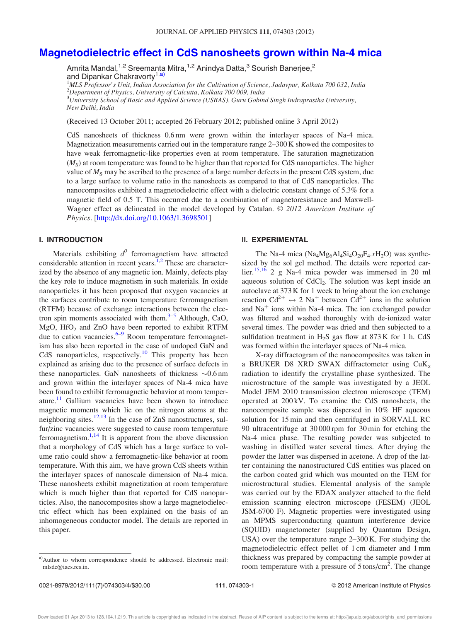## Magnetodielectric effect in CdS nanosheets grown within Na-4 mica

Amrita Mandal,<sup>1,2</sup> Sreemanta Mitra,<sup>1,2</sup> Anindya Datta,<sup>3</sup> Sourish Banerjee,<sup>2</sup> and Dipankar Chakravorty<sup>1,a)</sup>

<sup>1</sup>MLS Professor's Unit, Indian Association for the Cultivation of Science, Jadavpur, Kolkata 700 032, India  $2$ Department of Physics, University of Calcutta, Kolkata 700 009, India  $^3$ University School of Basic and Applied Science (USBAS), Guru Gobind Singh Indraprastha University, New Delhi, India

(Received 13 October 2011; accepted 26 February 2012; published online 3 April 2012)

CdS nanosheets of thickness 0.6 nm were grown within the interlayer spaces of Na-4 mica. Magnetization measurements carried out in the temperature range 2–300 K showed the composites to have weak ferromagnetic-like properties even at room temperature. The saturation magnetization  $(M<sub>S</sub>)$  at room temperature was found to be higher than that reported for CdS nanoparticles. The higher value of  $M<sub>S</sub>$  may be ascribed to the presence of a large number defects in the present CdS system, due to a large surface to volume ratio in the nanosheets as compared to that of CdS nanoparticles. The nanocomposites exhibited a magnetodielectric effect with a dielectric constant change of 5.3% for a magnetic field of 0.5 T. This occurred due to a combination of magnetoresistance and Maxwell-Wagner effect as delineated in the model developed by Catalan. © 2012 American Institute of Physics. [http://dx.doi.org/10.1063/1.3698501]

### I. INTRODUCTION

Materials exhibiting  $d^0$  ferromagnetism have attracted considerable attention in recent years.<sup>1,2</sup> These are characterized by the absence of any magnetic ion. Mainly, defects play the key role to induce magnetism in such materials. In oxide nanoparticles it has been proposed that oxygen vacancies at the surfaces contribute to room temperature ferromagnetism (RTFM) because of exchange interactions between the electron spin moments associated with them. $3-5$  Although, CaO, MgO,  $HfO<sub>2</sub>$  and ZnO have been reported to exhibit RTFM due to cation vacancies.<sup>6–9</sup> Room temperature ferromagnetism has also been reported in the case of undoped GaN and CdS nanoparticles, respectively.<sup>10</sup> This property has been explained as arising due to the presence of surface defects in these nanoparticles. GaN nanosheets of thickness  $\sim 0.6$  nm and grown within the interlayer spaces of Na-4 mica have been found to exhibit ferromagnetic behavior at room temperature.<sup>11</sup> Gallium vacancies have been shown to introduce magnetic moments which lie on the nitrogen atoms at the neighboring sites. $12,13$  In the case of ZnS nanostructures, sulfur/zinc vacancies were suggested to cause room temperature ferromagnetism. $1,14$  It is apparent from the above discussion that a morphology of CdS which has a large surface to volume ratio could show a ferromagnetic-like behavior at room temperature. With this aim, we have grown CdS sheets within the interlayer spaces of nanoscale dimension of Na-4 mica. These nanosheets exhibit magnetization at room temperature which is much higher than that reported for CdS nanoparticles. Also, the nanocomposites show a large magnetodielectric effect which has been explained on the basis of an inhomogeneous conductor model. The details are reported in this paper.

### II. EXPERIMENTAL

The Na-4 mica ( $Na<sub>4</sub>Mg<sub>6</sub>Al<sub>4</sub>Si<sub>4</sub>O<sub>20</sub>F<sub>4</sub>$ .xH<sub>2</sub>O) was synthesized by the sol gel method. The details were reported earlier.<sup>15,16</sup> 2 g Na-4 mica powder was immersed in 20 ml aqueous solution of  $CdCl<sub>2</sub>$ . The solution was kept inside an autoclave at 373 K for 1 week to bring about the ion exchange reaction  $Cd^{2+} \leftrightarrow 2$  Na<sup>+</sup> between  $Cd^{2+}$  ions in the solution and  $Na<sup>+</sup>$  ions within Na-4 mica. The ion exchanged powder was filtered and washed thoroughly with de-ionized water several times. The powder was dried and then subjected to a sulfidation treatment in  $H_2S$  gas flow at 873 K for 1 h. CdS was formed within the interlayer spaces of Na-4 mica.

X-ray diffractogram of the nanocomposites was taken in a BRUKER D8 XRD SWAX diffractometer using  $CuK_{\alpha}$ radiation to identify the crystalline phase synthesized. The microstructure of the sample was investigated by a JEOL Model JEM 2010 transmission electron microscope (TEM) operated at 200 kV. To examine the CdS nanosheets, the nanocomposite sample was dispersed in 10% HF aqueous solution for 15 min and then centrifuged in SORVALL RC 90 ultracentrifuge at 30 000 rpm for 30 min for etching the Na-4 mica phase. The resulting powder was subjected to washing in distilled water several times. After drying the powder the latter was dispersed in acetone. A drop of the latter containing the nanostructured CdS entities was placed on the carbon coated grid which was mounted on the TEM for microstructural studies. Elemental analysis of the sample was carried out by the EDAX analyzer attached to the field emission scanning electron microscope (FESEM) (JEOL JSM-6700 F). Magnetic properties were investigated using an MPMS superconducting quantum interference device (SQUID) magnetometer (supplied by Quantum Design, USA) over the temperature range 2–300 K. For studying the magnetodielectric effect pellet of 1 cm diameter and 1 mm thickness was prepared by compacting the sample powder at room temperature with a pressure of  $5 \text{ tons/cm}^2$ . The change

a)Author to whom correspondence should be addressed. Electronic mail: mlsdc@iacs.res.in.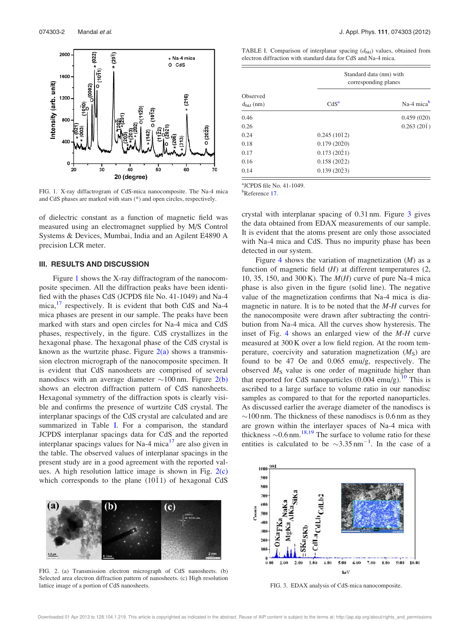

FIG. 1. X-ray diffactrogram of CdS-mica nanocomposite. The Na-4 mica and CdS phases are marked with stars (\*) and open circles, respectively.

of dielectric constant as a function of magnetic field was measured using an electromagnet supplied by M/S Control Systems & Devices, Mumbai, India and an Agilent E4890 A precision LCR meter.

### III. RESULTS AND DISCUSSION

Figure 1 shows the X-ray diffractogram of the nanocomposite specimen. All the diffraction peaks have been identified with the phases CdS (JCPDS file No. 41-1049) and Na-4 mica,<sup>17</sup> respectively. It is evident that both CdS and Na-4 mica phases are present in our sample. The peaks have been marked with stars and open circles for Na-4 mica and CdS phases, respectively, in the figure. CdS crystallizes in the hexagonal phase. The hexagonal phase of the CdS crystal is known as the wurtzite phase. Figure  $2(a)$  shows a transmission electron micrograph of the nanocomposite specimen. It is evident that CdS nanosheets are comprised of several nanodiscs with an average diameter  $\sim$ 100 nm. Figure 2(b) shows an electron diffraction pattern of CdS nanosheets. Hexagonal symmetry of the diffraction spots is clearly visible and confirms the presence of wurtzite CdS crystal. The interplanar spacings of the CdS crystal are calculated and are summarized in Table I. For a comparison, the standard JCPDS interplanar spacings data for CdS and the reported interplanar spacings values for Na-4 mica<sup>17</sup> are also given in the table. The observed values of interplanar spacings in the present study are in a good agreement with the reported values. A high resolution lattice image is shown in Fig.  $2(c)$ which corresponds to the plane  $(10\bar{1}1)$  of hexagonal CdS



FIG. 2. (a) Transmission electron micrograph of CdS nanosheets. (b) Selected area electron diffraction pattern of nanosheets. (c) High resolution lattice image of a portion of CdS nanosheets.

| TABLE I. Comparison of interplanar spacing $(d_{hkl})$ values, obtained from |  |  |  |  |  |  |  |
|------------------------------------------------------------------------------|--|--|--|--|--|--|--|
| electron diffraction with standard data for CdS and Na-4 mica.               |  |  |  |  |  |  |  |

|                            | Standard data (nm) with<br>corresponding planes |                    |  |  |
|----------------------------|-------------------------------------------------|--------------------|--|--|
| Observed<br>$d_{hkl}$ (nm) | CdS <sup>a</sup>                                | Na-4 micab         |  |  |
| 0.46                       |                                                 | 0.459(020)         |  |  |
| 0.26                       |                                                 | $0.263(20\bar{1})$ |  |  |
| 0.24                       | $0.245(10\bar{1}2)$                             |                    |  |  |
| 0.18                       | 0.179(2020)                                     |                    |  |  |
| 0.17                       | $0.173(20\bar{2}1)$                             |                    |  |  |
| 0.16                       | $0.158(20\bar{2}2)$                             |                    |  |  |
| 0.14                       | $0.139(20\bar{2}3)$                             |                    |  |  |

a JCPDS file No. 41-1049.

<sup>b</sup>Reference 17.

crystal with interplanar spacing of 0.31 nm. Figure 3 gives the data obtained from EDAX measurements of our sample. It is evident that the atoms present are only those associated with Na-4 mica and CdS. Thus no impurity phase has been detected in our system.

Figure 4 shows the variation of magnetization  $(M)$  as a function of magnetic field  $(H)$  at different temperatures  $(2, 1)$ 10, 35, 150, and 300 K). The  $M(H)$  curve of pure Na-4 mica phase is also given in the figure (solid line). The negative value of the magnetization confirms that Na-4 mica is diamagnetic in nature. It is to be noted that the M-H curves for the nanocomposite were drawn after subtracting the contribution from Na-4 mica. All the curves show hysteresis. The inset of Fig. 4 shows an enlarged view of the M-H curve measured at 300 K over a low field region. At the room temperature, coercivity and saturation magnetization  $(M<sub>S</sub>)$  are found to be 47 Oe and 0.065 emu/g, respectively. The observed  $M<sub>S</sub>$  value is one order of magnitude higher than that reported for CdS nanoparticles  $(0.004 \text{ emu/g})$ .<sup>10</sup> This is ascribed to a large surface to volume ratio in our nanodisc samples as compared to that for the reported nanoparticles. As discussed earlier the average diameter of the nanodiscs is  $\sim$ 100 nm. The thickness of these nanodiscs is 0.6 nm as they are grown within the interlayer spaces of Na-4 mica with thickness  $\sim 0.6$  nm.<sup>18,19</sup> The surface to volume ratio for these entities is calculated to be  $\sim 3.35 \text{ nm}^{-1}$ . In the case of a



FIG. 3. EDAX analysis of CdS-mica nanocomposite.

Downloaded 01 Apr 2013 to 128.104.1.219. This article is copyrighted as indicated in the abstract. Reuse of AIP content is subject to the terms at: http://jap.aip.org/about/rights\_and\_permissions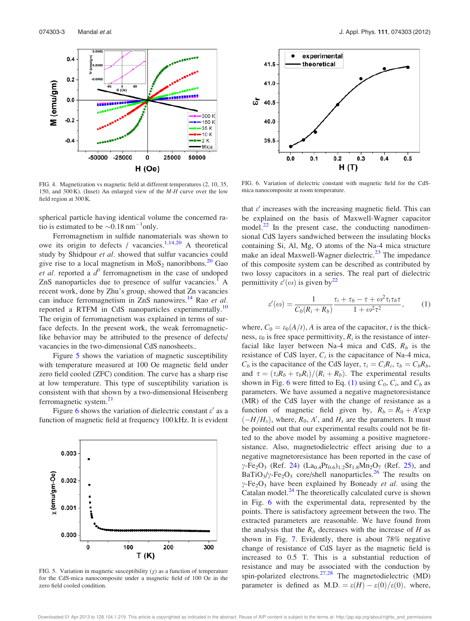

FIG. 4. Magnetization vs magnetic field at different temperatures (2, 10, 35, 150, and 300 K). (Inset) An enlarged view of the M-H curve over the low field region at 300 K.

spherical particle having identical volume the concerned ratio is estimated to be  $\sim 0.18 \text{ nm}^{-1}$ only.

Ferromagnetism in sulfide nanomaterials was shown to owe its origin to defects / vacancies.<sup>1,14,20</sup> A theoretical study by Shidpour et al. showed that sulfur vacancies could give rise to a local magnetism in  $MoS<sub>2</sub>$  nanoribbons.<sup>20</sup> Gao *et al.* reported a  $d^0$  ferromagnetism in the case of undoped ZnS nanoparticles due to presence of sulfur vacancies.<sup>1</sup> A recent work, done by Zhu's group, showed that Zn vacancies can induce ferromagnetism in ZnS nanowires.<sup>14</sup> Rao *et al.* reported a RTFM in CdS nanoparticles experimentally.<sup>10</sup> The origin of ferromagnetism was explained in terms of surface defects. In the present work, the weak ferromagneticlike behavior may be attributed to the presence of defects/ vacancies in the two-dimensional CdS nanosheets..

Figure 5 shows the variation of magnetic susceptibility with temperature measured at 100 Oe magnetic field under zero field cooled (ZFC) condition. The curve has a sharp rise at low temperature. This type of susceptibility variation is consistent with that shown by a two-dimensional Heisenberg ferromagnetic system. $^{21}$ 

Figure 6 shows the variation of dielectric constant  $\varepsilon'$  as a function of magnetic field at frequency 100 kHz. It is evident



FIG. 5. Variation in magnetic susceptibility  $(\chi)$  as a function of temperature for the CdS-mica nanocomposite under a magnetic field of 100 Oe in the zero field cooled condition.



FIG. 6. Variation of dielectric constant with magnetic field for the CdSmica nanocomposite at room temperature.

that  $\varepsilon'$  increases with the increasing magnetic field. This can be explained on the basis of Maxwell-Wagner capacitor model. $^{22}$  In the present case, the conducting nanodimensional CdS layers sandwiched between the insulating blocks containing Si, Al, Mg, O atoms of the Na-4 mica structure make an ideal Maxwell-Wagner dielectric.<sup>23</sup> The impedance of this composite system can be described as contributed by two lossy capacitors in a series. The real part of dielectric permittivity  $\varepsilon'(\omega)$  is given by<sup>22</sup>

$$
\varepsilon'(\omega) = \frac{1}{C_0(R_i + R_b)} \frac{\tau_i + \tau_b - \tau + \omega^2 \tau_i \tau_b \tau}{1 + \omega^2 \tau^2},\qquad(1)
$$

where,  $C_0 = \varepsilon_0(A/t)$ , A is area of the capacitor, t is the thickness,  $\varepsilon_0$  is free space permittivity,  $R_i$  is the resistance of interfacial like layer between Na-4 mica and CdS,  $R_b$  is the resistance of CdS layer,  $C_i$  is the capacitance of Na-4 mica,  $C_b$  is the capacitance of the CdS layer,  $\tau_i = C_i R_i$ ,  $\tau_b = C_b R_b$ , and  $\tau = (\tau_i R_b + \tau_b R_i)/(R_i + R_b)$ . The experimental results shown in Fig. 6 were fitted to Eq. (1) using  $C_0$ ,  $C_i$ , and  $C_b$  as parameters. We have assumed a negative magnetoresistance (MR) of the CdS layer with the change of resistance as a function of magnetic field given by,  $R_b = R_0 + A' \exp(\theta)$  $\left(-H/H_s\right)$ , where,  $R_0$ , A', and  $H_s$  are the parameters. It must be pointed out that our experimental results could not be fitted to the above model by assuming a positive magnetoresistance. Also, magnetodielectric effect arising due to a negative magnetoresistance has been reported in the case of  $\gamma$ -Fe<sub>2</sub>O<sub>3</sub> (Ref. 24) (La<sub>0.4</sub>Pr<sub>0.6</sub>)<sub>1.2</sub>Sr<sub>1.8</sub>Mn<sub>2</sub>O<sub>7</sub> (Ref. 25), and  $BaTiO<sub>3</sub>/\gamma$ -Fe<sub>2</sub>O<sub>3</sub> core/shell nanoparticles.<sup>26</sup> The results on  $\gamma$ -Fe<sub>2</sub>O<sub>3</sub> have been explained by Boneady *et al.* using the Catalan model.<sup>24</sup> The theoretically calculated curve is shown in Fig. 6 with the experimental data, represented by the points. There is satisfactory agreement between the two. The extracted parameters are reasonable. We have found from the analysis that the  $R_b$  decreases with the increase of H as shown in Fig. 7. Evidently, there is about 78% negative change of resistance of CdS layer as the magnetic field is increased to 0.5 T. This is a substantial reduction of resistance and may be associated with the conduction by spin-polarized electrons.<sup>27,28</sup> The magnetodielectric (MD) parameter is defined as M.D. =  $\varepsilon(H) - \varepsilon(0)/\varepsilon(0)$ , where,

Downloaded 01 Apr 2013 to 128.104.1.219. This article is copyrighted as indicated in the abstract. Reuse of AIP content is subject to the terms at: http://jap.aip.org/about/rights\_and\_permissions